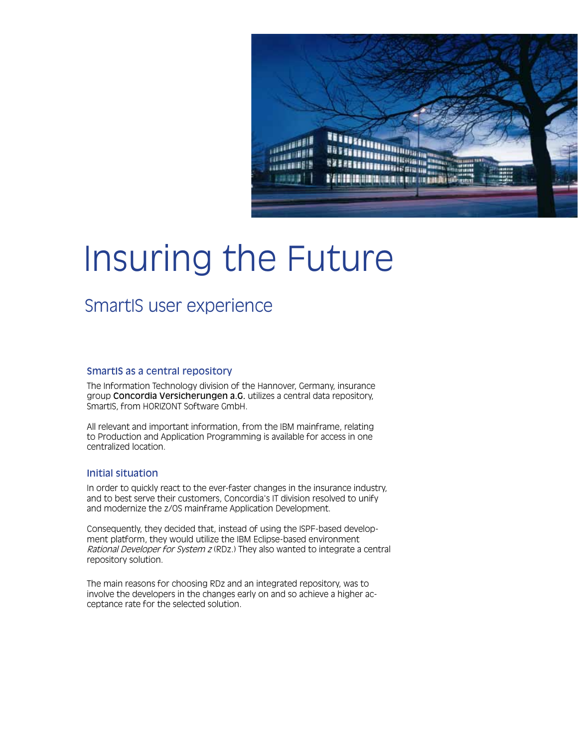

## Insuring the Future

## SmartIS user experience

#### SmartIS as a central repository

The Information Technology division of the Hannover, Germany, insurance group Concordia Versicherungen a.G. utilizes a central data repository, SmartIS, from HORIZONT Software GmbH.

All relevant and important information, from the IBM mainframe, relating to Production and Application Programming is available for access in one centralized location.

#### Initial situation

In order to quickly react to the ever-faster changes in the insurance industry, and to best serve their customers, Concordia's IT division resolved to unify and modernize the z/OS mainframe Application Development.

Consequently, they decided that, instead of using the ISPF-based development platform, they would utilize the IBM Eclipse-based environment Rational Developer for System z (RDz.) They also wanted to integrate a central repository solution.

The main reasons for choosing RDz and an integrated repository, was to involve the developers in the changes early on and so achieve a higher acceptance rate for the selected solution.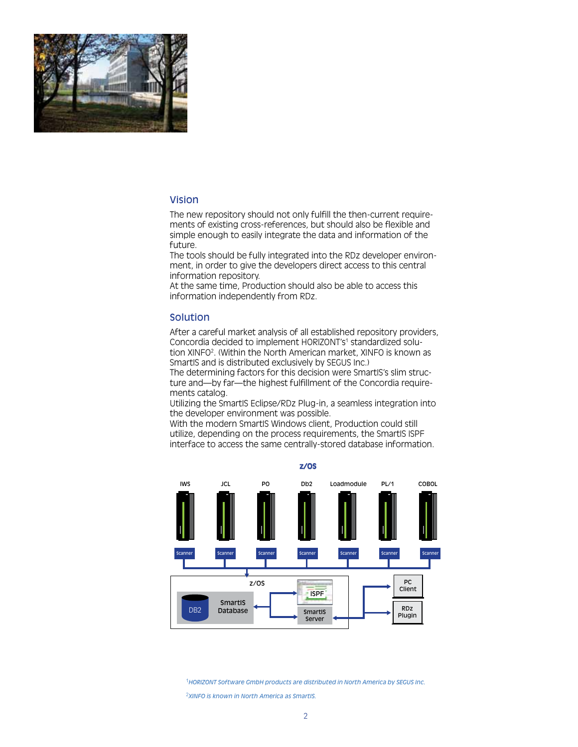

#### Vision

The new repository should not only fulfill the then-current requirements of existing cross-references, but should also be flexible and simple enough to easily integrate the data and information of the future.

The tools should be fully integrated into the RDz developer environment, in order to give the developers direct access to this central information repository.

At the same time, Production should also be able to access this information independently from RDz.

#### Solution

After a careful market analysis of all established repository providers, Concordia decided to implement HORIZONT's<sup>1</sup> standardized solution XINFO2 . (Within the North American market, XINFO is known as SmartIS and is distributed exclusively by SEGUS Inc.)

The determining factors for this decision were SmartIS's slim structure and—by far—the highest fulfillment of the Concordia requirements catalog.

Utilizing the SmartIS Eclipse/RDz Plug-in, a seamless integration into the developer environment was possible.

With the modern SmartIS Windows client, Production could still utilize, depending on the process requirements, the SmartIS ISPF interface to access the same centrally-stored database information.



<sup>1</sup>*HORIZONT Software GmbH products are distributed in North America by SEGUS Inc.* <sup>2</sup>*XINFO is known in North America as SmartIS.*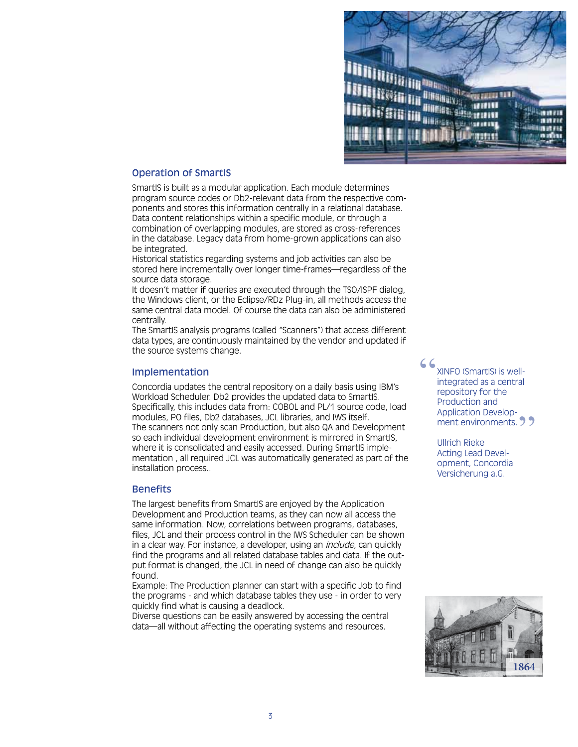

#### Operation of SmartIS

SmartIS is built as a modular application. Each module determines program source codes or Db2-relevant data from the respective components and stores this information centrally in a relational database. Data content relationships within a specific module, or through a combination of overlapping modules, are stored as cross-references in the database. Legacy data from home-grown applications can also be integrated.

Historical statistics regarding systems and job activities can also be stored here incrementally over longer time-frames—regardless of the source data storage.

It doesn't matter if queries are executed through the TSO/ISPF dialog, the Windows client, or the Eclipse/RDz Plug-in, all methods access the same central data model. Of course the data can also be administered centrally.

The SmartIS analysis programs (called "Scanners") that access different data types, are continuously maintained by the vendor and updated if the source systems change.

#### Implementation

Concordia updates the central repository on a daily basis using IBM's Workload Scheduler. Db2 provides the updated data to SmartIS. Specifically, this includes data from: COBOL and PL/1 source code, load modules, PO files, Db2 databases, JCL libraries, and IWS itself. The scanners not only scan Production, but also QA and Development so each individual development environment is mirrored in SmartIS, where it is consolidated and easily accessed. During SmartIS implementation , all required JCL was automatically generated as part of the installation process..

#### **Benefits**

The largest benefits from SmartIS are enjoyed by the Application Development and Production teams, as they can now all access the same information. Now, correlations between programs, databases, files, JCL and their process control in the IWS Scheduler can be shown in a clear way. For instance, a developer, using an *include*, can quickly find the programs and all related database tables and data. If the output format is changed, the JCL in need of change can also be quickly found.

Example: The Production planner can start with a specific Job to find the programs - and which database tables they use - in order to very quickly find what is causing a deadlock.

Diverse questions can be easily answered by accessing the central data—all without affecting the operating systems and resources.

XINFO (SmartIS) is wellintegrated as a central repository for the Production and Application Development environments. 29 "

> Ullrich Rieke Acting Lead Development, Concordia Versicherung a.G.